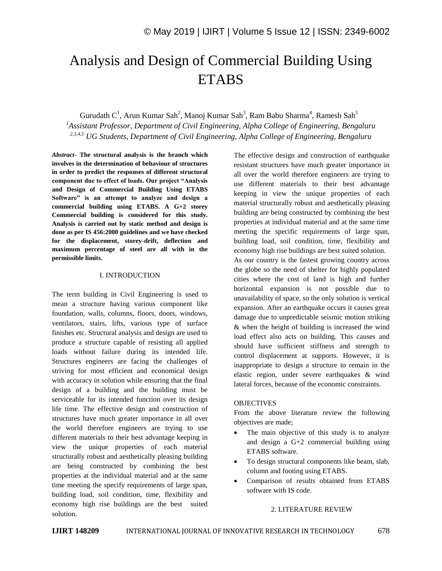# Analysis and Design of Commercial Building Using **ETABS**

Gurudath  $C^1$ , Arun Kumar Sah<sup>2</sup>, Manoj Kumar Sah<sup>3</sup>, Ram Babu Sharma<sup>4</sup>, Ramesh Sah<sup>5</sup>

*<sup>1</sup>Assistant Professor, Department of Civil Engineering, Alpha College of Engineering, Bengaluru 2,3,4,5 UG Students, Department of Civil Engineering, Alpha College of Engineering, Bengaluru*

*Abstract*- **The structural analysis is the branch which involves in the determination of behaviour of structures in order to predict the responses of different structural component due to effect of loads. Our project "Analysis and Design of Commercial Building Using ETABS Software" is an attempt to analyze and design a commercial building using ETABS. A G+2 storey Commercial building is considered for this study. Analysis is carried out by static method and design is done as per IS 456:2000 guidelines and we have checked for the displacement, storey-drift, deflection and maximum percentage of steel are all with in the permissible limits.**

#### I. INTRODUCTION

The term building in Civil Engineering is used to mean a structure having various component like foundation, walls, columns, floors, doors, windows, ventilators, stairs, lifts, various type of surface finishes etc. Structural analysis and design are used to produce a structure capable of resisting all applied loads without failure during its intended life. Structures engineers are facing the challenges of striving for most efficient and economical design with accuracy in solution while ensuring that the final design of a building and the building must be serviceable for its intended function over its design life time. The effective design and construction of structures have much greater importance in all over the world therefore engineers are trying to use different materials to their best advantage keeping in view the unique properties of each material structurally robust and aesthetically pleasing building are being constructed by combining the best properties at the individual material and at the same time meeting the specify requirements of large span, building load, soil condition, time, flexibility and economy high rise buildings are the best suited solution.

The effective design and construction of earthquake resistant structures have much greater importance in all over the world therefore engineers are trying to use different materials to their best advantage keeping in view the unique properties of each material structurally robust and aesthetically pleasing building are being constructed by combining the best properties at individual material and at the same time meeting the specific requirements of large span, building load, soil condition, time, flexibility and economy high rise buildings are best suited solution.

As our country is the fastest growing country across the globe so the need of shelter for highly populated cities where the cost of land is high and further horizontal expansion is not possible due to unavailability of space, so the only solution is vertical expansion. After an earthquake occurs it causes great damage due to unpredictable seismic motion striking & when the height of building is increased the wind load effect also acts on building. This causes and should have sufficient stiffness and strength to control displacement at supports. However, it is inappropriate to design a structure to remain in the elastic region, under severe earthquakes & wind lateral forces, because of the economic constraints.

### **OBJECTIVES**

From the above literature review the following objectives are made;

- The main objective of this study is to analyze and design a G+2 commercial building using ETABS software.
- To design structural components like beam, slab, column and footing using ETABS.
- Comparison of results obtained from ETABS software with IS code.

#### 2. LITERATURE REVIEW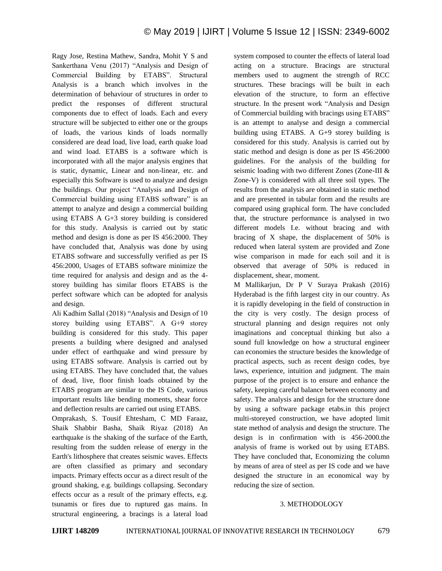Ragy Jose, Restina Mathew, Sandra, Mohit Y S and Sankerthana Venu (2017) "Analysis and Design of Commercial Building by ETABS". Structural Analysis is a branch which involves in the determination of behaviour of structures in order to predict the responses of different structural components due to effect of loads. Each and every structure will be subjected to either one or the groups of loads, the various kinds of loads normally considered are dead load, live load, earth quake load and wind load. ETABS is a software which is incorporated with all the major analysis engines that is static, dynamic, Linear and non-linear, etc. and especially this Software is used to analyze and design the buildings. Our project "Analysis and Design of Commercial building using ETABS software" is an attempt to analyze and design a commercial building using ETABS A G+3 storey building is considered for this study. Analysis is carried out by static method and design is done as per IS 456:2000. They have concluded that, Analysis was done by using ETABS software and successfully verified as per IS 456:2000, Usages of ETABS software minimize the time required for analysis and design and as the 4 storey building has similar floors ETABS is the perfect software which can be adopted for analysis and design.

Ali Kadhim Sallal (2018) "Analysis and Design of 10 storey building using ETABS". A G+9 storey building is considered for this study. This paper presents a building where designed and analysed under effect of earthquake and wind pressure by using ETABS software. Analysis is carried out by using ETABS. They have concluded that, the values of dead, live, floor finish loads obtained by the ETABS program are similar to the IS Code, various important results like bending moments, shear force and deflection results are carried out using ETABS.

Omprakash, S. Tousif Ehtesham, C MD Faraaz, Shaik Shabbir Basha, Shaik Riyaz (2018) An earthquake is the shaking of the surface of the Earth, resulting from the sudden release of energy in the Earth's lithosphere that creates seismic waves. Effects are often classified as primary and secondary impacts. Primary effects occur as a direct result of the ground shaking, e.g. buildings collapsing. Secondary effects occur as a result of the primary effects, e.g. tsunamis or fires due to ruptured gas mains. In structural engineering, a bracings is a lateral load system composed to counter the effects of lateral load acting on a structure. Bracings are structural members used to augment the strength of RCC structures. These bracings will be built in each elevation of the structure, to form an effective structure. In the present work "Analysis and Design of Commercial building with bracings using ETABS" is an attempt to analyse and design a commercial building using ETABS. A G+9 storey building is considered for this study. Analysis is carried out by static method and design is done as per IS 456:2000 guidelines. For the analysis of the building for seismic loading with two different Zones (Zone-III & Zone-V) is considered with all three soil types. The results from the analysis are obtained in static method and are presented in tabular form and the results are compared using graphical form. The have concluded that, the structure performance is analysed in two different models I.e. without bracing and with bracing of X shape, the displacement of 50% is reduced when lateral system are provided and Zone wise comparison in made for each soil and it is observed that average of 50% is reduced in displacement, shear, moment.

M Mallikarjun, Dr P V Suraya Prakash (2016) Hyderabad is the fifth largest city in our country. As it is rapidly developing in the field of construction in the city is very costly. The design process of structural planning and design requires not only imaginations and conceptual thinking but also a sound full knowledge on how a structural engineer can economies the structure besides the knowledge of practical aspects, such as recent design codes, bye laws, experience, intuition and judgment. The main purpose of the project is to ensure and enhance the safety, keeping careful balance between economy and safety. The analysis and design for the structure done by using a software package etabs.in this project multi-storeyed construction, we have adopted limit state method of analysis and design the structure. The design is in confirmation with is 456-2000.the analysis of frame is worked out by using ETABS. They have concluded that, Economizing the column by means of area of steel as per IS code and we have designed the structure in an economical way by reducing the size of section.

#### 3. METHODOLOGY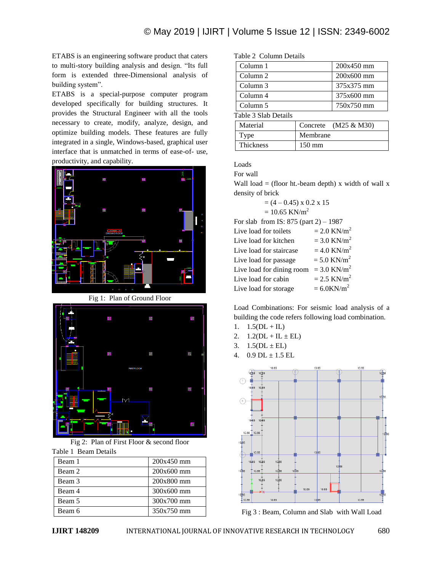ETABS is an engineering software product that caters to multi-story building analysis and design. "Its full form is extended three-Dimensional analysis of building system".

ETABS is a special-purpose computer program developed specifically for building structures. It provides the Structural Engineer with all the tools necessary to create, modify, analyze, design, and optimize building models. These features are fully integrated in a single, Windows-based, graphical user interface that is unmatched in terms of ease-of- use, productivity, and capability.



Fig 1: Plan of Ground Floor



Fig 2: Plan of First Floor & second floor Table 1 Beam Details

| Beam 1 | $200x450$ mm |
|--------|--------------|
| Beam 2 | $200x600$ mm |
| Beam 3 | 200x800 mm   |
| Beam 4 | $300x600$ mm |
| Beam 5 | 300x700 mm   |
| Beam 6 | 350x750 mm   |

Table 2 Column Details

| Column 1             | 200x450 mm              |
|----------------------|-------------------------|
| Column 2             | 200x600 mm              |
| Column 3             | 375x375 mm              |
| Column 4             | 375x600 mm              |
| Column 5             | 750x750 mm              |
| Table 3 Slab Details |                         |
| Material             | Concrete $(M25 \& M30)$ |
| Type                 | Membrane                |
| Thickness            | mm                      |

Loads

For wall

Wall load  $=$  (floor ht.-beam depth) x width of wall x density of brick

$$
= (4 - 0.45) \times 0.2 \times 15
$$

$$
= 10.65 \text{ KN/m}^2
$$

For slab from IS: 875 (part 2) – 1987 Live load for toilets  $= 2.0$  KN/m<sup>2</sup> Live load for kitchen  $= 3.0$  KN/m<sup>2</sup> Live load for staircase  $= 4.0$  KN/m<sup>2</sup> Live load for passage  $= 5.0$  KN/m<sup>2</sup> Live load for dining room =  $3.0$  KN/m<sup>2</sup> Live load for cabin  $= 2.5 \text{ KN/m}^2$ Live load for storage  $= 6.0$ KN/m<sup>2</sup>

Load Combinations: For seismic load analysis of a building the code refers following load combination.

- 1.  $1.5(DL + IL)$
- 2.  $1.2(DL + IL \pm EL)$
- 3.  $1.5(DL \pm EL)$
- 4.  $0.9$  DL  $\pm$  1.5 EL



Fig 3 : Beam, Column and Slab with Wall Load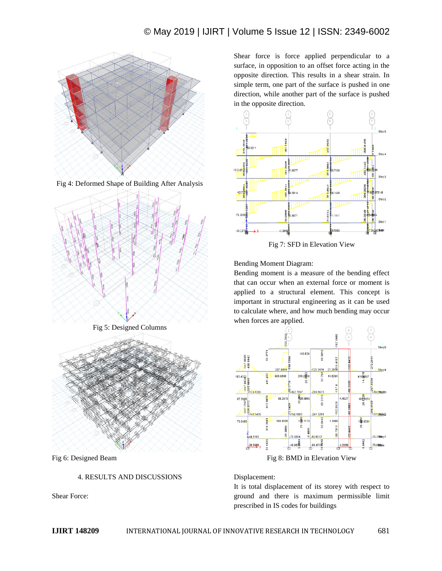

Fig 4: Deformed Shape of Building After Analysis



Fig 5: Designed Columns



Fig 6: Designed Beam

#### 4. RESULTS AND DISCUSSIONS

Shear Force:

Shear force is force applied perpendicular to a surface, in opposition to an offset force acting in the opposite direction. This results in a shear strain. In simple term, one part of the surface is pushed in one direction, while another part of the surface is pushed in the opposite direction.



Fig 7: SFD in Elevation View

Bending Moment Diagram:

Bending moment is a measure of the bending effect that can occur when an external force or moment is applied to a structural element. This concept is important in structural engineering as it can be used to calculate where, and how much bending may occur when forces are applied.



Fig 8: BMD in Elevation View

#### Displacement:

It is total displacement of its storey with respect to ground and there is maximum permissible limit prescribed in IS codes for buildings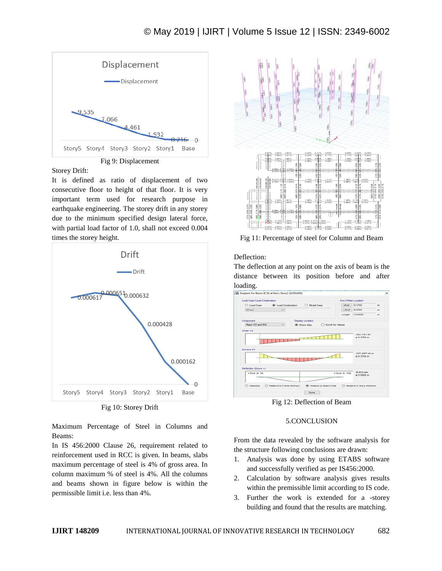

Fig 9: Displacement

Storey Drift:

It is defined as ratio of displacement of two consecutive floor to height of that floor. It is very important term used for research purpose in earthquake engineering. The storey drift in any storey due to the minimum specified design lateral force, with partial load factor of 1.0, shall not exceed 0.004 times the storey height.





Maximum Percentage of Steel in Columns and Beams:

In IS 456:2000 Clause 26, requirement related to reinforcement used in RCC is given. In beams, slabs maximum percentage of steel is 4% of gross area. In column maximum % of steel is 4%. All the columns and beams shown in figure below is within the permissible limit i.e. less than 4%.



Fig 11: Percentage of steel for Column and Beam

#### Deflection:

The deflection at any point on the axis of beam is the distance between its position before and after loading.



Fig 12: Deflection of Beam

### 5.CONCLUSION

From the data revealed by the software analysis for the structure following conclusions are drawn:

- 1. Analysis was done by using ETABS software and successfully verified as per IS456:2000.
- 2. Calculation by software analysis gives results within the premissible limit according to IS code.
- 3. Further the work is extended for a -storey building and found that the results are matching.